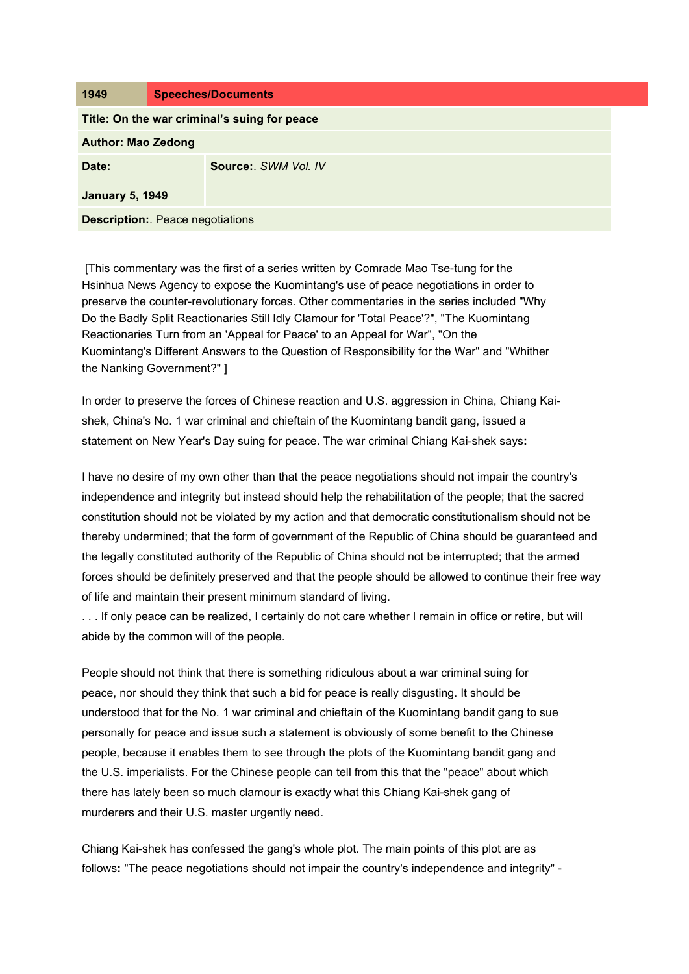| 1949                                         | <b>Speeches/Documents</b> |
|----------------------------------------------|---------------------------|
| Title: On the war criminal's suing for peace |                           |
| <b>Author: Mao Zedong</b>                    |                           |
| Date:                                        | Source: SWM Vol. IV       |
| <b>January 5, 1949</b>                       |                           |
| <b>Description:</b> Peace negotiations       |                           |

[This commentary was the first of a series written by Comrade Mao Tse-tung for the Hsinhua News Agency to expose the Kuomintang's use of peace negotiations in order to preserve the counter-revolutionary forces. Other commentaries in the series included "Why Do the Badly Split Reactionaries Still Idly Clamour for 'Total Peace'?", "The Kuomintang Reactionaries Turn from an 'Appeal for Peace' to an Appeal for War", "On the Kuomintang's Different Answers to the Question of Responsibility for the War" and "Whither the Nanking Government?" ]

In order to preserve the forces of Chinese reaction and U.S. aggression in China, Chiang Kaishek, China's No. 1 war criminal and chieftain of the Kuomintang bandit gang, issued a statement on New Year's Day suing for peace. The war criminal Chiang Kai-shek says**:** 

I have no desire of my own other than that the peace negotiations should not impair the country's independence and integrity but instead should help the rehabilitation of the people; that the sacred constitution should not be violated by my action and that democratic constitutionalism should not be thereby undermined; that the form of government of the Republic of China should be guaranteed and the legally constituted authority of the Republic of China should not be interrupted; that the armed forces should be definitely preserved and that the people should be allowed to continue their free way of life and maintain their present minimum standard of living.

. . . If only peace can be realized, I certainly do not care whether I remain in office or retire, but will abide by the common will of the people.

People should not think that there is something ridiculous about a war criminal suing for peace, nor should they think that such a bid for peace is really disgusting. It should be understood that for the No. 1 war criminal and chieftain of the Kuomintang bandit gang to sue personally for peace and issue such a statement is obviously of some benefit to the Chinese people, because it enables them to see through the plots of the Kuomintang bandit gang and the U.S. imperialists. For the Chinese people can tell from this that the "peace" about which there has lately been so much clamour is exactly what this Chiang Kai-shek gang of murderers and their U.S. master urgently need.

Chiang Kai-shek has confessed the gang's whole plot. The main points of this plot are as follows**:** "The peace negotiations should not impair the country's independence and integrity" -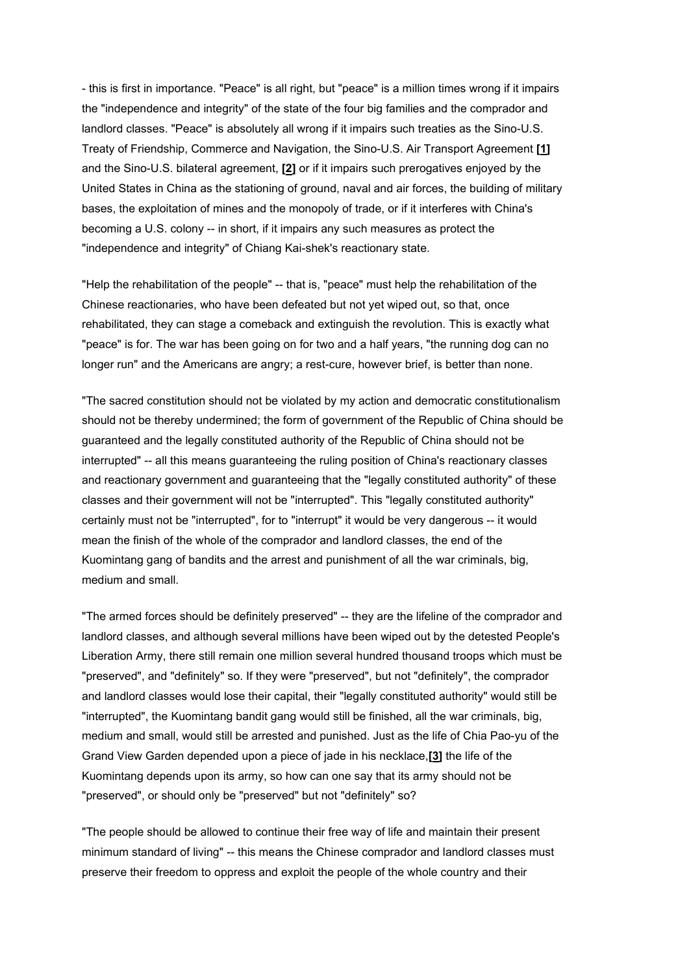- this is first in importance. "Peace" is all right, but "peace" is a million times wrong if it impairs the "independence and integrity" of the state of the four big families and the comprador and landlord classes. "Peace" is absolutely all wrong if it impairs such treaties as the Sino-U.S. Treaty of Friendship, Commerce and Navigation, the Sino-U.S. Air Transport Agreement **[\[1\]](http://www.marxists.org/reference/archive/mao/selected-works/volume-4/mswv4_49.htm#bm1#bm1)** and the Sino-U.S. bilateral agreement, **[\[2\]](http://www.marxists.org/reference/archive/mao/selected-works/volume-4/mswv4_49.htm#bm2#bm2)** or if it impairs such prerogatives enjoyed by the United States in China as the stationing of ground, naval and air forces, the building of military bases, the exploitation of mines and the monopoly of trade, or if it interferes with China's becoming a U.S. colony -- in short, if it impairs any such measures as protect the "independence and integrity" of Chiang Kai-shek's reactionary state.

"Help the rehabilitation of the people" -- that is, "peace" must help the rehabilitation of the Chinese reactionaries, who have been defeated but not yet wiped out, so that, once rehabilitated, they can stage a comeback and extinguish the revolution. This is exactly what "peace" is for. The war has been going on for two and a half years, "the running dog can no longer run" and the Americans are angry; a rest-cure, however brief, is better than none.

"The sacred constitution should not be violated by my action and democratic constitutionalism should not be thereby undermined; the form of government of the Republic of China should be guaranteed and the legally constituted authority of the Republic of China should not be interrupted" -- all this means guaranteeing the ruling position of China's reactionary classes and reactionary government and guaranteeing that the "legally constituted authority" of these classes and their government will not be "interrupted". This "legally constituted authority" certainly must not be "interrupted", for to "interrupt" it would be very dangerous -- it would mean the finish of the whole of the comprador and landlord classes, the end of the Kuomintang gang of bandits and the arrest and punishment of all the war criminals, big, medium and small.

"The armed forces should be definitely preserved" -- they are the lifeline of the comprador and landlord classes, and although several millions have been wiped out by the detested People's Liberation Army, there still remain one million several hundred thousand troops which must be "preserved", and "definitely" so. If they were "preserved", but not "definitely", the comprador and landlord classes would lose their capital, their "legally constituted authority" would still be "interrupted", the Kuomintang bandit gang would still be finished, all the war criminals, big, medium and small, would still be arrested and punished. Just as the life of Chia Pao-yu of the Grand View Garden depended upon a piece of jade in his necklace,**[\[3\]](http://www.marxists.org/reference/archive/mao/selected-works/volume-4/mswv4_49.htm#bm3#bm3)** the life of the Kuomintang depends upon its army, so how can one say that its army should not be "preserved", or should only be "preserved" but not "definitely" so?

"The people should be allowed to continue their free way of life and maintain their present minimum standard of living" -- this means the Chinese comprador and landlord classes must preserve their freedom to oppress and exploit the people of the whole country and their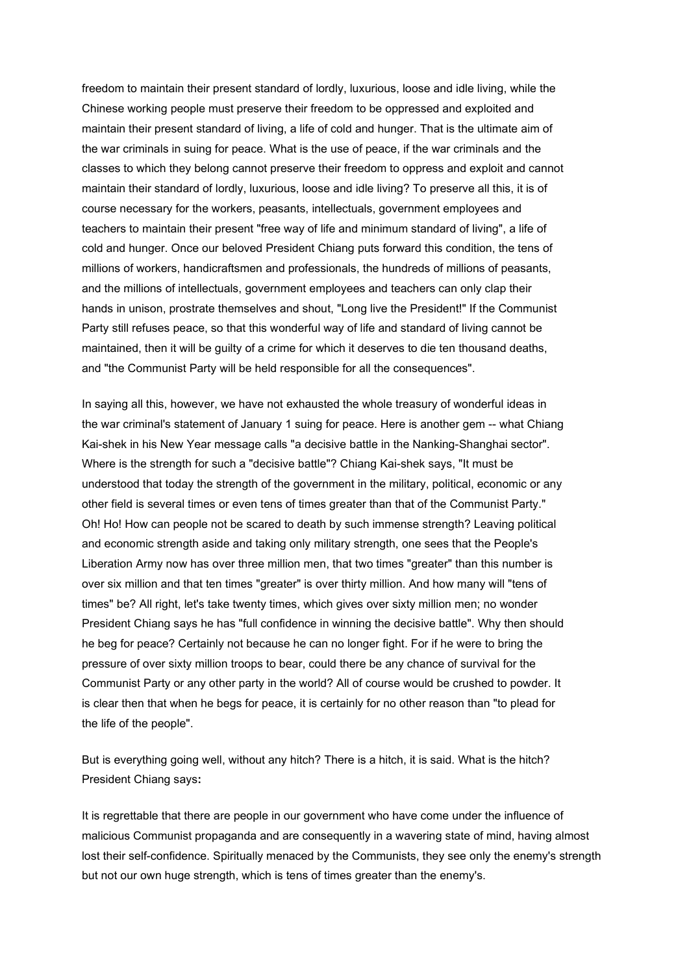freedom to maintain their present standard of lordly, luxurious, loose and idle living, while the Chinese working people must preserve their freedom to be oppressed and exploited and maintain their present standard of living, a life of cold and hunger. That is the ultimate aim of the war criminals in suing for peace. What is the use of peace, if the war criminals and the classes to which they belong cannot preserve their freedom to oppress and exploit and cannot maintain their standard of lordly, luxurious, loose and idle living? To preserve all this, it is of course necessary for the workers, peasants, intellectuals, government employees and teachers to maintain their present "free way of life and minimum standard of living", a life of cold and hunger. Once our beloved President Chiang puts forward this condition, the tens of millions of workers, handicraftsmen and professionals, the hundreds of millions of peasants, and the millions of intellectuals, government employees and teachers can only clap their hands in unison, prostrate themselves and shout, "Long live the President!" If the Communist Party still refuses peace, so that this wonderful way of life and standard of living cannot be maintained, then it will be guilty of a crime for which it deserves to die ten thousand deaths, and "the Communist Party will be held responsible for all the consequences".

In saying all this, however, we have not exhausted the whole treasury of wonderful ideas in the war criminal's statement of January 1 suing for peace. Here is another gem -- what Chiang Kai-shek in his New Year message calls "a decisive battle in the Nanking-Shanghai sector". Where is the strength for such a "decisive battle"? Chiang Kai-shek says, "It must be understood that today the strength of the government in the military, political, economic or any other field is several times or even tens of times greater than that of the Communist Party." Oh! Ho! How can people not be scared to death by such immense strength? Leaving political and economic strength aside and taking only military strength, one sees that the People's Liberation Army now has over three million men, that two times "greater" than this number is over six million and that ten times "greater" is over thirty million. And how many will "tens of times" be? All right, let's take twenty times, which gives over sixty million men; no wonder President Chiang says he has "full confidence in winning the decisive battle". Why then should he beg for peace? Certainly not because he can no longer fight. For if he were to bring the pressure of over sixty million troops to bear, could there be any chance of survival for the Communist Party or any other party in the world? All of course would be crushed to powder. It is clear then that when he begs for peace, it is certainly for no other reason than "to plead for the life of the people".

But is everything going well, without any hitch? There is a hitch, it is said. What is the hitch? President Chiang says**:**

It is regrettable that there are people in our government who have come under the influence of malicious Communist propaganda and are consequently in a wavering state of mind, having almost lost their self-confidence. Spiritually menaced by the Communists, they see only the enemy's strength but not our own huge strength, which is tens of times greater than the enemy's.